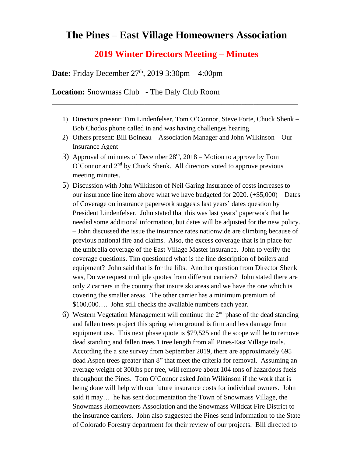## **The Pines – East Village Homeowners Association**

## **2019 Winter Directors Meeting – Minutes**

**Date:** Friday December 27<sup>th</sup>, 2019 3:30pm – 4:00pm

**Location:** Snowmass Club - The Daly Club Room

1) Directors present: Tim Lindenfelser, Tom O'Connor, Steve Forte, Chuck Shenk – Bob Chodos phone called in and was having challenges hearing.

\_\_\_\_\_\_\_\_\_\_\_\_\_\_\_\_\_\_\_\_\_\_\_\_\_\_\_\_\_\_\_\_\_\_\_\_\_\_\_\_\_\_\_\_\_\_\_\_\_\_\_\_\_\_\_\_\_\_\_\_\_

- 2) Others present: Bill Boineau Association Manager and John Wilkinson Our Insurance Agent
- 3) Approval of minutes of December  $28<sup>th</sup>$ ,  $2018$  Motion to approve by Tom O'Connor and  $2<sup>nd</sup>$  by Chuck Shenk. All directors voted to approve previous meeting minutes.
- 5) Discussion with John Wilkinson of Neil Garing Insurance of costs increases to our insurance line item above what we have budgeted for  $2020$ . ( $+$ \$5,000) – Dates of Coverage on insurance paperwork suggests last years' dates question by President Lindenfelser. John stated that this was last years' paperwork that he needed some additional information, but dates will be adjusted for the new policy. – John discussed the issue the insurance rates nationwide are climbing because of previous national fire and claims. Also, the excess coverage that is in place for the umbrella coverage of the East Village Master insurance. John to verify the coverage questions. Tim questioned what is the line description of boilers and equipment? John said that is for the lifts. Another question from Director Shenk was, Do we request multiple quotes from different carriers? John stated there are only 2 carriers in the country that insure ski areas and we have the one which is covering the smaller areas. The other carrier has a minimum premium of \$100,000…. John still checks the available numbers each year.
- 6) Western Vegetation Management will continue the  $2<sup>nd</sup>$  phase of the dead standing and fallen trees project this spring when ground is firm and less damage from equipment use. This next phase quote is \$79,525 and the scope will be to remove dead standing and fallen trees 1 tree length from all Pines-East Village trails. According the a site survey from September 2019, there are approximately 695 dead Aspen trees greater than 8" that meet the criteria for removal. Assuming an average weight of 300lbs per tree, will remove about 104 tons of hazardous fuels throughout the Pines. Tom O'Connor asked John Wilkinson if the work that is being done will help with our future insurance costs for individual owners. John said it may… he has sent documentation the Town of Snowmass Village, the Snowmass Homeowners Association and the Snowmass Wildcat Fire District to the insurance carriers. John also suggested the Pines send information to the State of Colorado Forestry department for their review of our projects. Bill directed to